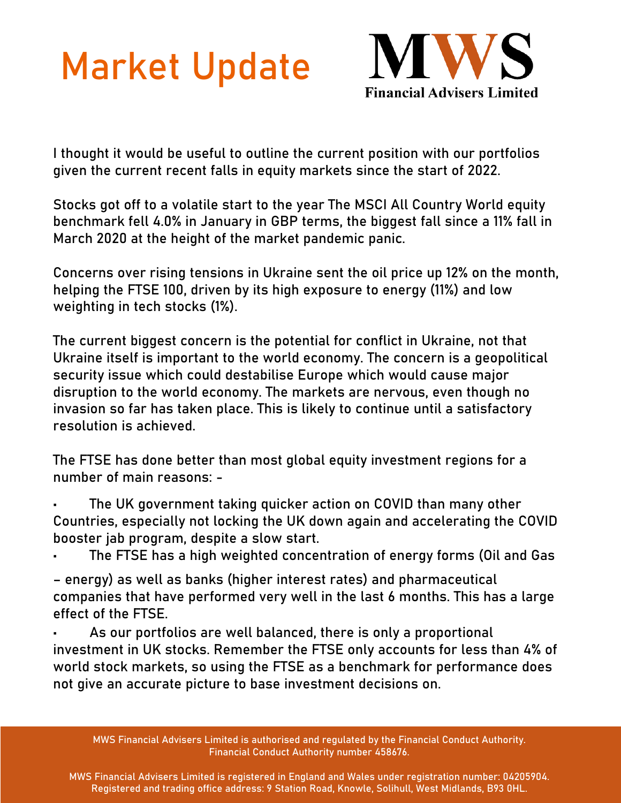## Market Update



I thought it would be useful to outline the current position with our portfolios given the current recent falls in equity markets since the start of 2022.

Stocks got off to a volatile start to the year The MSCI All Country World equity benchmark fell 4.0% in January in GBP terms, the biggest fall since a 11% fall in March 2020 at the height of the market pandemic panic.

Concerns over rising tensions in Ukraine sent the oil price up 12% on the month, helping the FTSE 100, driven by its high exposure to energy (11%) and low weighting in tech stocks (1%).

The current biggest concern is the potential for conflict in Ukraine, not that Ukraine itself is important to the world economy. The concern is a geopolitical security issue which could destabilise Europe which would cause major disruption to the world economy. The markets are nervous, even though no invasion so far has taken place. This is likely to continue until a satisfactory resolution is achieved.

The FTSE has done better than most global equity investment regions for a number of main reasons: -

• The UK government taking quicker action on COVID than many other Countries, especially not locking the UK down again and accelerating the COVID booster jab program, despite a slow start.

• The FTSE has a high weighted concentration of energy forms (Oil and Gas

- energy) as well as banks (higher interest rates) and pharmaceutical companies that have performed very well in the last 6 months. This has a large effect of the FTSE.
- As our portfolios are well balanced, there is only a proportional investment in UK stocks. Remember the FTSE only accounts for less than 4% of world stock markets, so using the FTSE as a benchmark for performance does not give an accurate picture to base investment decisions on.

MWS Financial Advisers Limited is authorised and regulated by the Financial Conduct Authority. Financial Conduct Authority number 458676.